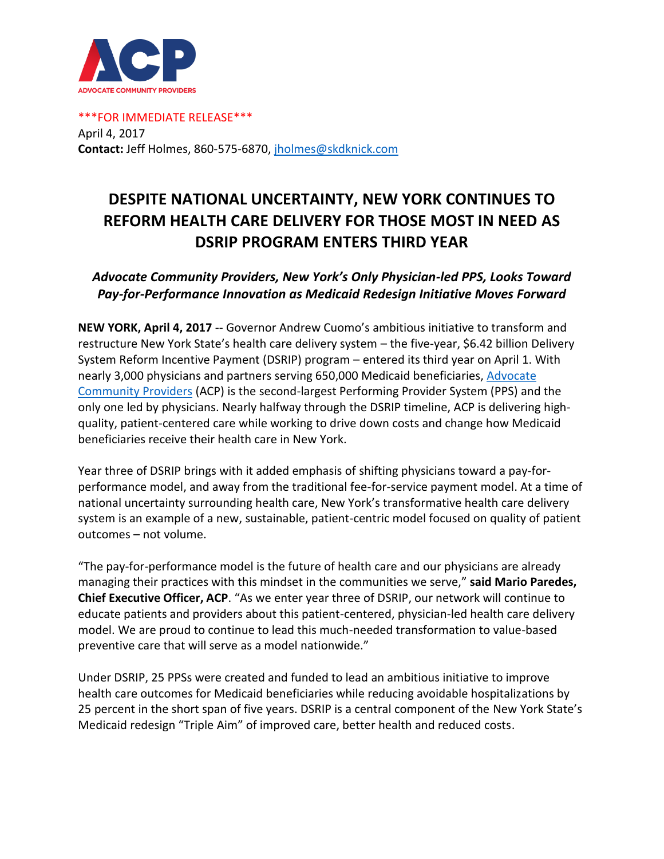

\*\*\*FOR IMMEDIATE RELEASE\*\*\* April 4, 2017 **Contact:** Jeff Holmes, 860-575-6870, [jholmes@skdknick.com](mailto:jholmes@skdknick.com)

## **DESPITE NATIONAL UNCERTAINTY, NEW YORK CONTINUES TO REFORM HEALTH CARE DELIVERY FOR THOSE MOST IN NEED AS DSRIP PROGRAM ENTERS THIRD YEAR**

## *Advocate Community Providers, New York's Only Physician-led PPS, Looks Toward Pay-for-Performance Innovation as Medicaid Redesign Initiative Moves Forward*

**NEW YORK, April 4, 2017** -- Governor Andrew Cuomo's ambitious initiative to transform and restructure New York State's health care delivery system – the five-year, \$6.42 billion Delivery System Reform Incentive Payment (DSRIP) program – entered its third year on April 1. With nearly 3,000 physicians and partners serving 650,000 Medicaid beneficiaries[, Advocate](http://www.acppps.org/)  [Community Providers](http://www.acppps.org/) (ACP) is the second-largest Performing Provider System (PPS) and the only one led by physicians. Nearly halfway through the DSRIP timeline, ACP is delivering highquality, patient-centered care while working to drive down costs and change how Medicaid beneficiaries receive their health care in New York.

Year three of DSRIP brings with it added emphasis of shifting physicians toward a pay-forperformance model, and away from the traditional fee-for-service payment model. At a time of national uncertainty surrounding health care, New York's transformative health care delivery system is an example of a new, sustainable, patient-centric model focused on quality of patient outcomes – not volume.

"The pay-for-performance model is the future of health care and our physicians are already managing their practices with this mindset in the communities we serve," **said Mario Paredes, Chief Executive Officer, ACP**. "As we enter year three of DSRIP, our network will continue to educate patients and providers about this patient-centered, physician-led health care delivery model. We are proud to continue to lead this much-needed transformation to value-based preventive care that will serve as a model nationwide."

Under DSRIP, 25 PPSs were created and funded to lead an ambitious initiative to improve health care outcomes for Medicaid beneficiaries while reducing avoidable hospitalizations by 25 percent in the short span of five years. DSRIP is a central component of the New York State's Medicaid redesign "Triple Aim" of improved care, better health and reduced costs.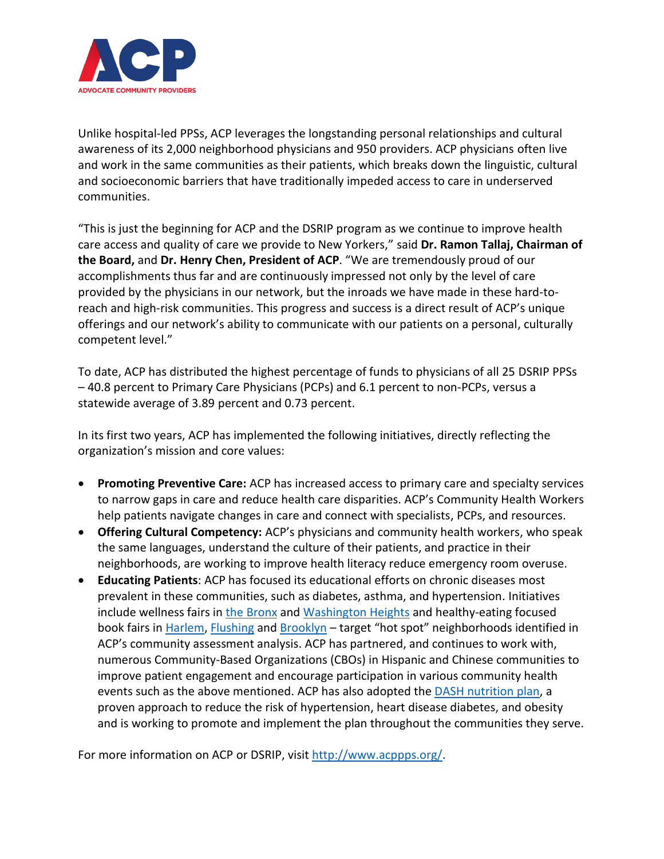

Unlike hospital-led PPSs, ACP leverages the longstanding personal relationships and cultural awareness of its 2,000 neighborhood physicians and 950 providers. ACP physicians often live and work in the same communities as their patients, which breaks down the linguistic, cultural and socioeconomic barriers that have traditionally impeded access to care in underserved communities.

"This is just the beginning for ACP and the DSRIP program as we continue to improve health care access and quality of care we provide to New Yorkers," said **Dr. Ramon Tallaj, Chairman of the Board,** and **Dr. Henry Chen, President of ACP**. "We are tremendously proud of our accomplishments thus far and are continuously impressed not only by the level of care provided by the physicians in our network, but the inroads we have made in these hard-toreach and high-risk communities. This progress and success is a direct result of ACP's unique offerings and our network's ability to communicate with our patients on a personal, culturally competent level."

To date, ACP has distributed the highest percentage of funds to physicians of all 25 DSRIP PPSs – 40.8 percent to Primary Care Physicians (PCPs) and 6.1 percent to non-PCPs, versus a statewide average of 3.89 percent and 0.73 percent.

In its first two years, ACP has implemented the following initiatives, directly reflecting the organization's mission and core values:

- **Promoting Preventive Care:** ACP has increased access to primary care and specialty services to narrow gaps in care and reduce health care disparities. ACP's Community Health Workers help patients navigate changes in care and connect with specialists, PCPs, and resources.
- **Offering Cultural Competency:** ACP's physicians and community health workers, who speak the same languages, understand the culture of their patients, and practice in their neighborhoods, are working to improve health literacy reduce emergency room overuse.
- **Educating Patients**: ACP has focused its educational efforts on chronic diseases most prevalent in these communities, such as diabetes, asthma, and hypertension. Initiatives include wellness fairs in [the Bronx](https://twitter.com/ACP_PPS/status/842754372308254720) and [Washington Heights](http://www.acppps.org/back-to-the-heights/) and healthy-eating focused book fairs i[n Harlem,](http://harlemworldmag.com/building-culture-health-harlem-hollis/) [Flushing](http://www.timesledger.com/stories/2016/23/bookhealthfair_2016_06_03_q.html) and [Brooklyn](http://queenstribune.com/will-work-books/) - target "hot spot" neighborhoods identified in ACP's community assessment analysis. ACP has partnered, and continues to work with, numerous Community-Based Organizations (CBOs) in Hispanic and Chinese communities to improve patient engagement and encourage participation in various community health events such as the above mentioned. ACP has also adopted the **DASH** nutrition plan, a proven approach to reduce the risk of hypertension, heart disease diabetes, and obesity and is working to promote and implement the plan throughout the communities they serve.

For more information on ACP or DSRIP, visi[t http://www.acppps.org/.](http://www.acppps.org/)